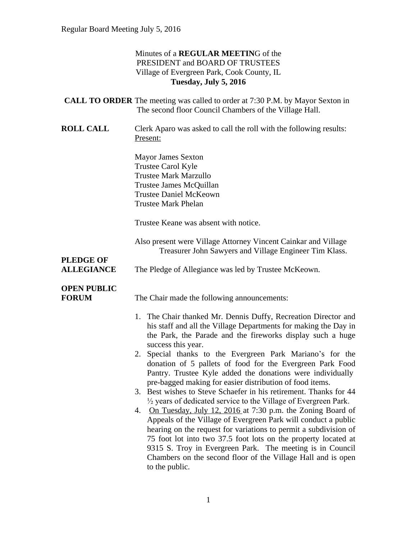## Minutes of a **REGULAR MEETIN**G of the PRESIDENT and BOARD OF TRUSTEES Village of Evergreen Park, Cook County, IL **Tuesday, July 5, 2016**

|                                       | <b>CALL TO ORDER</b> The meeting was called to order at 7:30 P.M. by Mayor Sexton in<br>The second floor Council Chambers of the Village Hall.                                                                                                                                                                                                                                                                                                                                                                                                                                                                                                                                                                                                                                                                                                                                                                                                                                                                                                          |
|---------------------------------------|---------------------------------------------------------------------------------------------------------------------------------------------------------------------------------------------------------------------------------------------------------------------------------------------------------------------------------------------------------------------------------------------------------------------------------------------------------------------------------------------------------------------------------------------------------------------------------------------------------------------------------------------------------------------------------------------------------------------------------------------------------------------------------------------------------------------------------------------------------------------------------------------------------------------------------------------------------------------------------------------------------------------------------------------------------|
| <b>ROLL CALL</b>                      | Clerk Aparo was asked to call the roll with the following results:<br>Present:                                                                                                                                                                                                                                                                                                                                                                                                                                                                                                                                                                                                                                                                                                                                                                                                                                                                                                                                                                          |
|                                       | <b>Mayor James Sexton</b><br>Trustee Carol Kyle<br><b>Trustee Mark Marzullo</b><br>Trustee James McQuillan<br><b>Trustee Daniel McKeown</b><br><b>Trustee Mark Phelan</b>                                                                                                                                                                                                                                                                                                                                                                                                                                                                                                                                                                                                                                                                                                                                                                                                                                                                               |
|                                       | Trustee Keane was absent with notice.                                                                                                                                                                                                                                                                                                                                                                                                                                                                                                                                                                                                                                                                                                                                                                                                                                                                                                                                                                                                                   |
|                                       | Also present were Village Attorney Vincent Cainkar and Village<br>Treasurer John Sawyers and Village Engineer Tim Klass.                                                                                                                                                                                                                                                                                                                                                                                                                                                                                                                                                                                                                                                                                                                                                                                                                                                                                                                                |
| <b>PLEDGE OF</b><br><b>ALLEGIANCE</b> | The Pledge of Allegiance was led by Trustee McKeown.                                                                                                                                                                                                                                                                                                                                                                                                                                                                                                                                                                                                                                                                                                                                                                                                                                                                                                                                                                                                    |
| <b>OPEN PUBLIC</b><br><b>FORUM</b>    | The Chair made the following announcements:                                                                                                                                                                                                                                                                                                                                                                                                                                                                                                                                                                                                                                                                                                                                                                                                                                                                                                                                                                                                             |
|                                       | 1. The Chair thanked Mr. Dennis Duffy, Recreation Director and<br>his staff and all the Village Departments for making the Day in<br>the Park, the Parade and the fireworks display such a huge<br>success this year.<br>2. Special thanks to the Evergreen Park Mariano's for the<br>donation of 5 pallets of food for the Evergreen Park Food<br>Pantry. Trustee Kyle added the donations were individually<br>pre-bagged making for easier distribution of food items.<br>3. Best wishes to Steve Schaefer in his retirement. Thanks for 44<br>$\frac{1}{2}$ years of dedicated service to the Village of Evergreen Park.<br>On Tuesday, July 12, 2016 at 7:30 p.m. the Zoning Board of<br>4.<br>Appeals of the Village of Evergreen Park will conduct a public<br>hearing on the request for variations to permit a subdivision of<br>75 foot lot into two 37.5 foot lots on the property located at<br>9315 S. Troy in Evergreen Park. The meeting is in Council<br>Chambers on the second floor of the Village Hall and is open<br>to the public. |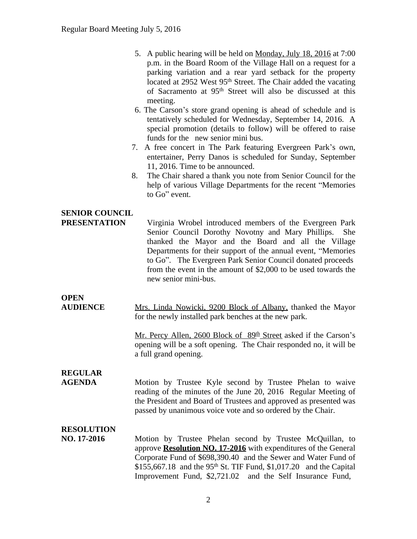- 5. A public hearing will be held on Monday, July 18, 2016 at 7:00 p.m. in the Board Room of the Village Hall on a request for a parking variation and a rear yard setback for the property located at 2952 West 95<sup>th</sup> Street. The Chair added the vacating of Sacramento at 95th Street will also be discussed at this meeting.
- 6. The Carson's store grand opening is ahead of schedule and is tentatively scheduled for Wednesday, September 14, 2016. A special promotion (details to follow) will be offered to raise funds for the new senior mini bus.
- 7. A free concert in The Park featuring Evergreen Park's own, entertainer, Perry Danos is scheduled for Sunday, September 11, 2016. Time to be announced.
- 8. The Chair shared a thank you note from Senior Council for the help of various Village Departments for the recent "Memories to Go" event.

## **SENIOR COUNCIL**

**PRESENTATION** Virginia Wrobel introduced members of the Evergreen Park Senior Council Dorothy Novotny and Mary Phillips. She thanked the Mayor and the Board and all the Village Departments for their support of the annual event, "Memories to Go". The Evergreen Park Senior Council donated proceeds from the event in the amount of \$2,000 to be used towards the new senior mini-bus.

# **OPEN**

**AUDIENCE** Mrs. Linda Nowicki, 9200 Block of Albany, thanked the Mayor for the newly installed park benches at the new park.

> Mr. Percy Allen, 2600 Block of 89<sup>th</sup> Street asked if the Carson's opening will be a soft opening. The Chair responded no, it will be a full grand opening.

# **REGULAR**

**AGENDA** Motion by Trustee Kyle second by Trustee Phelan to waive reading of the minutes of the June 20, 2016 Regular Meeting of the President and Board of Trustees and approved as presented was passed by unanimous voice vote and so ordered by the Chair.

## **RESOLUTION**

**NO. 17-2016** Motion by Trustee Phelan second by Trustee McQuillan, to approve **Resolution NO. 17-2016** with expenditures of the General Corporate Fund of \$698,390.40 and the Sewer and Water Fund of \$155,667.18 and the 95<sup>th</sup> St. TIF Fund, \$1,017.20 and the Capital Improvement Fund, \$2,721.02 and the Self Insurance Fund,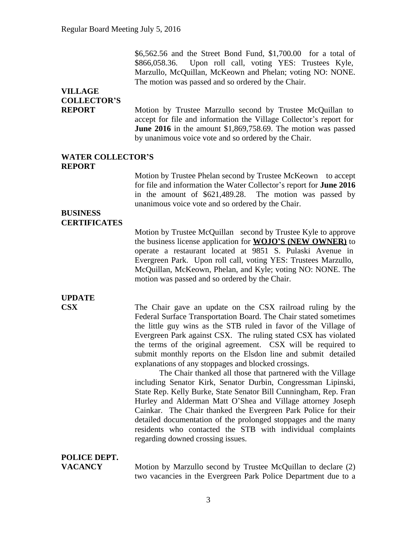\$6,562.56 and the Street Bond Fund, \$1,700.00 for a total of \$866,058.36. Upon roll call, voting YES: Trustees Kyle, Marzullo, McQuillan, McKeown and Phelan; voting NO: NONE. The motion was passed and so ordered by the Chair.

# **VILLAGE COLLECTOR'S**

**REPORT** Motion by Trustee Marzullo second by Trustee McQuillan to accept for file and information the Village Collector's report for **June 2016** in the amount \$1,869,758.69. The motion was passed by unanimous voice vote and so ordered by the Chair.

#### **WATER COLLECTOR'S REPORT**

Motion by Trustee Phelan second by Trustee McKeown to accept for file and information the Water Collector's report for **June 2016** in the amount of \$621,489.28. The motion was passed by unanimous voice vote and so ordered by the Chair.

#### **BUSINESS CERTIFICATES**

Motion by Trustee McQuillan second by Trustee Kyle to approve the business license application for **WOJO'S (NEW OWNER)** to operate a restaurant located at 9851 S. Pulaski Avenue in Evergreen Park. Upon roll call, voting YES: Trustees Marzullo, McQuillan, McKeown, Phelan, and Kyle; voting NO: NONE. The motion was passed and so ordered by the Chair.

# **UPDATE**

**CSX** The Chair gave an update on the CSX railroad ruling by the Federal Surface Transportation Board. The Chair stated sometimes the little guy wins as the STB ruled in favor of the Village of Evergreen Park against CSX. The ruling stated CSX has violated the terms of the original agreement. CSX will be required to submit monthly reports on the Elsdon line and submit detailed explanations of any stoppages and blocked crossings.

> The Chair thanked all those that partnered with the Village including Senator Kirk, Senator Durbin, Congressman Lipinski, State Rep. Kelly Burke, State Senator Bill Cunningham, Rep. Fran Hurley and Alderman Matt O'Shea and Village attorney Joseph Cainkar. The Chair thanked the Evergreen Park Police for their detailed documentation of the prolonged stoppages and the many residents who contacted the STB with individual complaints regarding downed crossing issues.

## **POLICE DEPT.**

**VACANCY** Motion by Marzullo second by Trustee McQuillan to declare (2) two vacancies in the Evergreen Park Police Department due to a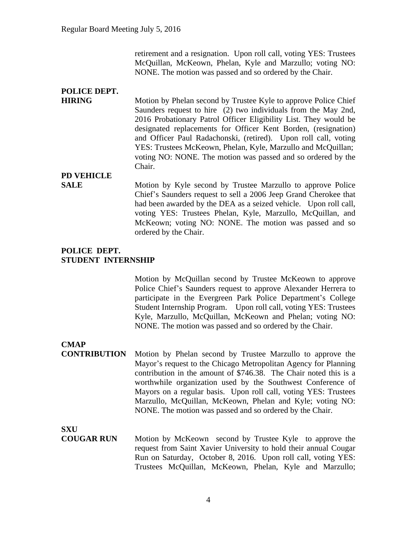retirement and a resignation. Upon roll call, voting YES: Trustees McQuillan, McKeown, Phelan, Kyle and Marzullo; voting NO: NONE. The motion was passed and so ordered by the Chair.

## **POLICE DEPT.**

**HIRING** Motion by Phelan second by Trustee Kyle to approve Police Chief Saunders request to hire (2) two individuals from the May 2nd, 2016 Probationary Patrol Officer Eligibility List. They would be designated replacements for Officer Kent Borden, (resignation) and Officer Paul Radachonski, (retired). Upon roll call, voting YES: Trustees McKeown, Phelan, Kyle, Marzullo and McQuillan; voting NO: NONE. The motion was passed and so ordered by the Chair.

**PD VEHICLE**

**SALE** Motion by Kyle second by Trustee Marzullo to approve Police Chief's Saunders request to sell a 2006 Jeep Grand Cherokee that had been awarded by the DEA as a seized vehicle. Upon roll call, voting YES: Trustees Phelan, Kyle, Marzullo, McQuillan, and McKeown; voting NO: NONE. The motion was passed and so ordered by the Chair.

### **POLICE DEPT. STUDENT INTERNSHIP**

Motion by McQuillan second by Trustee McKeown to approve Police Chief's Saunders request to approve Alexander Herrera to participate in the Evergreen Park Police Department's College Student Internship Program. Upon roll call, voting YES: Trustees Kyle, Marzullo, McQuillan, McKeown and Phelan; voting NO: NONE. The motion was passed and so ordered by the Chair.

**CMAP**

**CONTRIBUTION** Motion by Phelan second by Trustee Marzullo to approve the Mayor's request to the Chicago Metropolitan Agency for Planning contribution in the amount of \$746.38. The Chair noted this is a worthwhile organization used by the Southwest Conference of Mayors on a regular basis. Upon roll call, voting YES: Trustees Marzullo, McQuillan, McKeown, Phelan and Kyle; voting NO: NONE. The motion was passed and so ordered by the Chair.

**SXU**

**COUGAR RUN** Motion by McKeown second by Trustee Kyle to approve the request from Saint Xavier University to hold their annual Cougar Run on Saturday, October 8, 2016. Upon roll call, voting YES: Trustees McQuillan, McKeown, Phelan, Kyle and Marzullo;